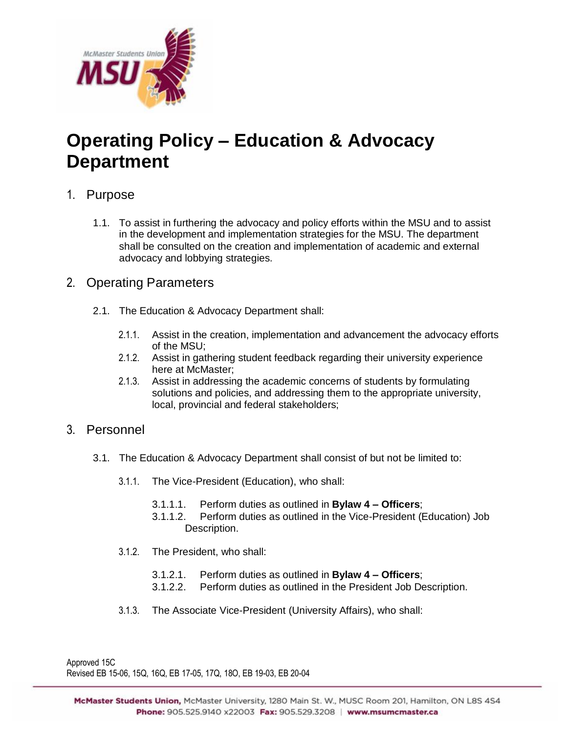

# **Operating Policy – Education & Advocacy Department**

## 1. Purpose

1.1. To assist in furthering the advocacy and policy efforts within the MSU and to assist in the development and implementation strategies for the MSU. The department shall be consulted on the creation and implementation of academic and external advocacy and lobbying strategies.

### 2. Operating Parameters

- 2.1. The Education & Advocacy Department shall:
	- 2.1.1. Assist in the creation, implementation and advancement the advocacy efforts of the MSU;
	- 2.1.2. Assist in gathering student feedback regarding their university experience here at McMaster;
	- 2.1.3. Assist in addressing the academic concerns of students by formulating solutions and policies, and addressing them to the appropriate university, local, provincial and federal stakeholders;

### 3. Personnel

- 3.1. The Education & Advocacy Department shall consist of but not be limited to:
	- 3.1.1. The Vice-President (Education), who shall:
		- 3.1.1.1. Perform duties as outlined in **Bylaw 4 – Officers**;
		- 3.1.1.2. Perform duties as outlined in the Vice-President (Education) Job Description.
	- 3.1.2. The President, who shall:
		- 3.1.2.1. Perform duties as outlined in **Bylaw 4 – Officers**;
		- 3.1.2.2. Perform duties as outlined in the President Job Description.
	- 3.1.3. The Associate Vice-President (University Affairs), who shall:

Approved 15C Revised EB 15-06, 15Q, 16Q, EB 17-05, 17Q, 18O, EB 19-03, EB 20-04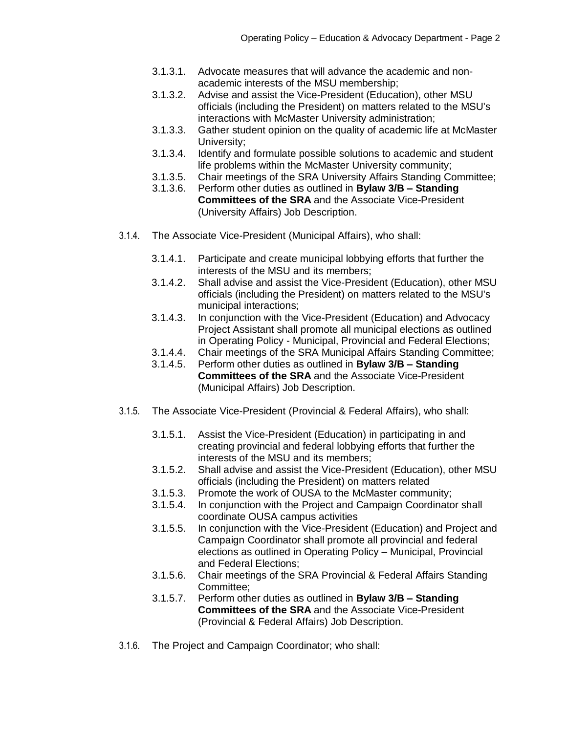- 3.1.3.1. Advocate measures that will advance the academic and nonacademic interests of the MSU membership;
- 3.1.3.2. Advise and assist the Vice-President (Education), other MSU officials (including the President) on matters related to the MSU's interactions with McMaster University administration;
- 3.1.3.3. Gather student opinion on the quality of academic life at McMaster University;
- 3.1.3.4. Identify and formulate possible solutions to academic and student life problems within the McMaster University community;
- 3.1.3.5. Chair meetings of the SRA University Affairs Standing Committee;
- 3.1.3.6. Perform other duties as outlined in **Bylaw 3/B – Standing Committees of the SRA** and the Associate Vice-President (University Affairs) Job Description.
- 3.1.4. The Associate Vice-President (Municipal Affairs), who shall:
	- 3.1.4.1. Participate and create municipal lobbying efforts that further the interests of the MSU and its members;
	- 3.1.4.2. Shall advise and assist the Vice-President (Education), other MSU officials (including the President) on matters related to the MSU's municipal interactions;
	- 3.1.4.3. In conjunction with the Vice-President (Education) and Advocacy Project Assistant shall promote all municipal elections as outlined in Operating Policy - Municipal, Provincial and Federal Elections;
	- 3.1.4.4. Chair meetings of the SRA Municipal Affairs Standing Committee;
	- 3.1.4.5. Perform other duties as outlined in **Bylaw 3/B – Standing Committees of the SRA** and the Associate Vice-President (Municipal Affairs) Job Description.
- 3.1.5. The Associate Vice-President (Provincial & Federal Affairs), who shall:
	- 3.1.5.1. Assist the Vice-President (Education) in participating in and creating provincial and federal lobbying efforts that further the interests of the MSU and its members;
	- 3.1.5.2. Shall advise and assist the Vice-President (Education), other MSU officials (including the President) on matters related
	- 3.1.5.3. Promote the work of OUSA to the McMaster community;
	- 3.1.5.4. In conjunction with the Project and Campaign Coordinator shall coordinate OUSA campus activities
	- 3.1.5.5. In conjunction with the Vice-President (Education) and Project and Campaign Coordinator shall promote all provincial and federal elections as outlined in Operating Policy – Municipal, Provincial and Federal Elections;
	- 3.1.5.6. Chair meetings of the SRA Provincial & Federal Affairs Standing Committee;
	- 3.1.5.7. Perform other duties as outlined in **Bylaw 3/B – Standing Committees of the SRA** and the Associate Vice-President (Provincial & Federal Affairs) Job Description.
- 3.1.6. The Project and Campaign Coordinator; who shall: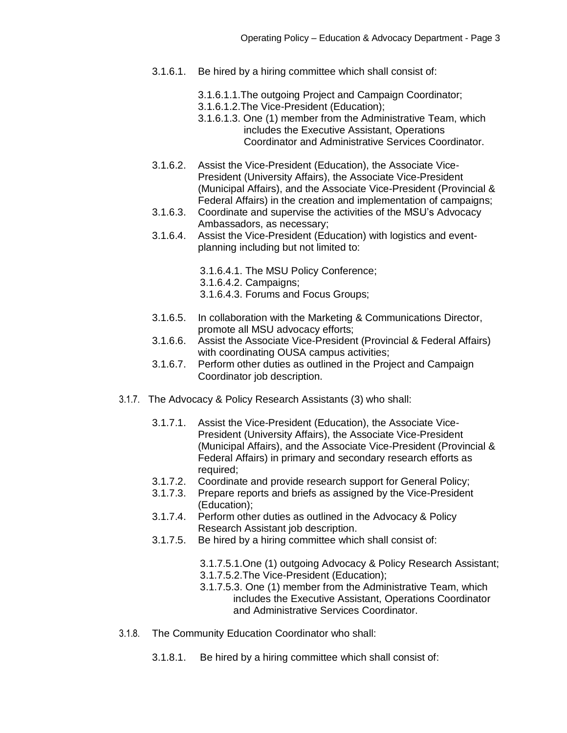- 3.1.6.1. Be hired by a hiring committee which shall consist of:
	- 3.1.6.1.1.The outgoing Project and Campaign Coordinator;
	- 3.1.6.1.2.The Vice-President (Education);
	- 3.1.6.1.3. One (1) member from the Administrative Team, which includes the Executive Assistant, Operations Coordinator and Administrative Services Coordinator.
- 3.1.6.2. Assist the Vice-President (Education), the Associate Vice-President (University Affairs), the Associate Vice-President (Municipal Affairs), and the Associate Vice-President (Provincial & Federal Affairs) in the creation and implementation of campaigns;
- 3.1.6.3. Coordinate and supervise the activities of the MSU's Advocacy Ambassadors, as necessary;
- 3.1.6.4. Assist the Vice-President (Education) with logistics and eventplanning including but not limited to:
	- 3.1.6.4.1. The MSU Policy Conference;
	- 3.1.6.4.2. Campaigns;
	- 3.1.6.4.3. Forums and Focus Groups;
- 3.1.6.5. In collaboration with the Marketing & Communications Director, promote all MSU advocacy efforts;
- 3.1.6.6. Assist the Associate Vice-President (Provincial & Federal Affairs) with coordinating OUSA campus activities;
- 3.1.6.7. Perform other duties as outlined in the Project and Campaign Coordinator job description.
- 3.1.7. The Advocacy & Policy Research Assistants (3) who shall:
	- 3.1.7.1. Assist the Vice-President (Education), the Associate Vice-President (University Affairs), the Associate Vice-President (Municipal Affairs), and the Associate Vice-President (Provincial & Federal Affairs) in primary and secondary research efforts as required:
	- 3.1.7.2. Coordinate and provide research support for General Policy;
	- 3.1.7.3. Prepare reports and briefs as assigned by the Vice-President (Education);
	- 3.1.7.4. Perform other duties as outlined in the Advocacy & Policy Research Assistant job description.
	- 3.1.7.5. Be hired by a hiring committee which shall consist of:
		- 3.1.7.5.1.One (1) outgoing Advocacy & Policy Research Assistant;
		- 3.1.7.5.2.The Vice-President (Education);
		- 3.1.7.5.3. One (1) member from the Administrative Team, which includes the Executive Assistant, Operations Coordinator and Administrative Services Coordinator.
- 3.1.8. The Community Education Coordinator who shall:
	- 3.1.8.1. Be hired by a hiring committee which shall consist of: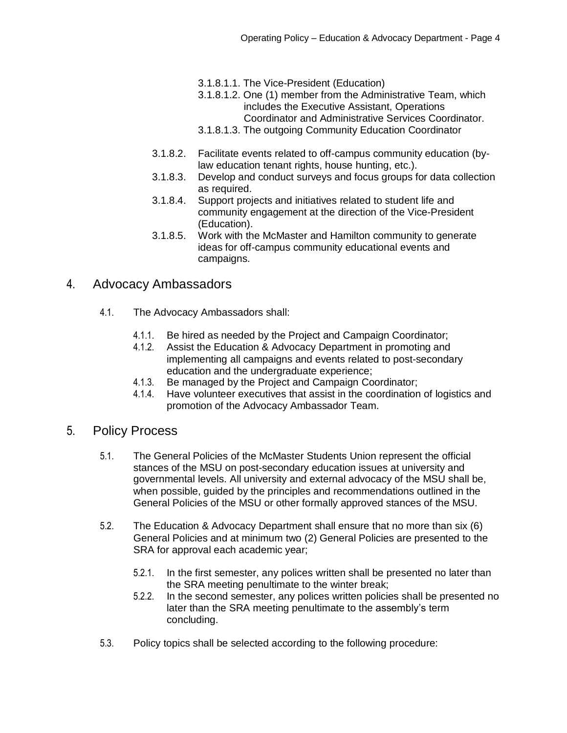- 3.1.8.1.1. The Vice-President (Education)
- 3.1.8.1.2. One (1) member from the Administrative Team, which includes the Executive Assistant, Operations Coordinator and Administrative Services Coordinator.
- 3.1.8.1.3. The outgoing Community Education Coordinator
- 3.1.8.2. Facilitate events related to off-campus community education (bylaw education tenant rights, house hunting, etc.).
- 3.1.8.3. Develop and conduct surveys and focus groups for data collection as required.
- 3.1.8.4. Support projects and initiatives related to student life and community engagement at the direction of the Vice-President (Education).
- 3.1.8.5. Work with the McMaster and Hamilton community to generate ideas for off-campus community educational events and campaigns.

### 4. Advocacy Ambassadors

- 4.1. The Advocacy Ambassadors shall:
	- 4.1.1. Be hired as needed by the Project and Campaign Coordinator;
	- 4.1.2. Assist the Education & Advocacy Department in promoting and implementing all campaigns and events related to post-secondary education and the undergraduate experience;
	- 4.1.3. Be managed by the Project and Campaign Coordinator;
	- 4.1.4. Have volunteer executives that assist in the coordination of logistics and promotion of the Advocacy Ambassador Team.
- 5. Policy Process
	- 5.1. The General Policies of the McMaster Students Union represent the official stances of the MSU on post-secondary education issues at university and governmental levels. All university and external advocacy of the MSU shall be, when possible, guided by the principles and recommendations outlined in the General Policies of the MSU or other formally approved stances of the MSU.
	- 5.2. The Education & Advocacy Department shall ensure that no more than six (6) General Policies and at minimum two (2) General Policies are presented to the SRA for approval each academic year;
		- 5.2.1. In the first semester, any polices written shall be presented no later than the SRA meeting penultimate to the winter break;
		- 5.2.2. In the second semester, any polices written policies shall be presented no later than the SRA meeting penultimate to the assembly's term concluding.
	- 5.3. Policy topics shall be selected according to the following procedure: